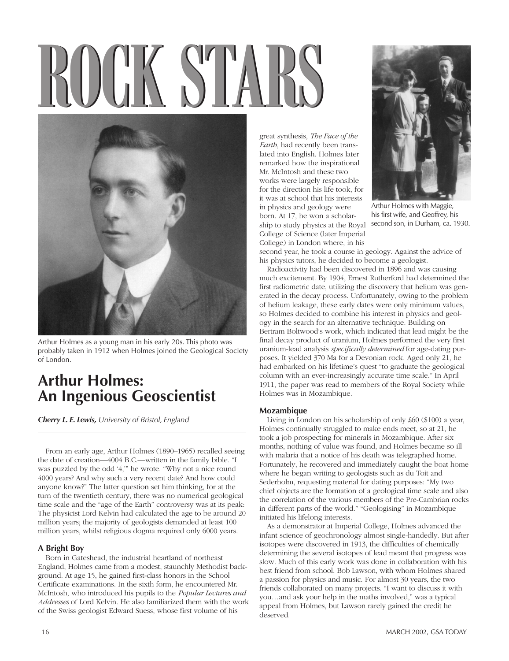# **ROCK STARSOCK STARS**



Arthur Holmes as a young man in his early 20s. This photo was probably taken in 1912 when Holmes joined the Geological Society of London.

# **Arthur Holmes: An Ingenious Geoscientist**

*Cherry L. E. Lewis, University of Bristol, England*

From an early age, Arthur Holmes (1890–1965) recalled seeing the date of creation—4004 B.C.—written in the family bible. "I was puzzled by the odd '4,'" he wrote. "Why not a nice round 4000 years? And why such a very recent date? And how could anyone know?" The latter question set him thinking, for at the turn of the twentieth century, there was no numerical geological time scale and the "age of the Earth" controversy was at its peak: The physicist Lord Kelvin had calculated the age to be around 20 million years; the majority of geologists demanded at least 100 million years, whilst religious dogma required only 6000 years.

### **A Bright Boy**

Born in Gateshead, the industrial heartland of northeast England, Holmes came from a modest, staunchly Methodist background. At age 15, he gained first-class honors in the School Certificate examinations. In the sixth form, he encountered Mr. McIntosh, who introduced his pupils to the *Popular Lectures and Addresses* of Lord Kelvin. He also familiarized them with the work of the Swiss geologist Edward Suess, whose first volume of his

great synthesis, *The Face of the Earth*, had recently been translated into English. Holmes later remarked how the inspirational Mr. McIntosh and these two works were largely responsible for the direction his life took, for it was at school that his interests in physics and geology were born. At 17, he won a scholarship to study physics at the Royal College of Science (later Imperial College) in London where, in his



Arthur Holmes with Maggie, his first wife, and Geoffrey, his second son, in Durham, ca. 1930.

second year, he took a course in geology. Against the advice of his physics tutors, he decided to become a geologist.

Radioactivity had been discovered in 1896 and was causing much excitement. By 1904, Ernest Rutherford had determined the first radiometric date, utilizing the discovery that helium was generated in the decay process. Unfortunately, owing to the problem of helium leakage, these early dates were only minimum values, so Holmes decided to combine his interest in physics and geology in the search for an alternative technique. Building on Bertram Boltwood's work, which indicated that lead might be the final decay product of uranium, Holmes performed the very first uranium-lead analysis *specifically determined* for age-dating purposes. It yielded 370 Ma for a Devonian rock. Aged only 21, he had embarked on his lifetime's quest "to graduate the geological column with an ever-increasingly accurate time scale." In April 1911, the paper was read to members of the Royal Society while Holmes was in Mozambique.

## **Mozambique**

Living in London on his scholarship of only £60 (\$100) a year, Holmes continually struggled to make ends meet, so at 21, he took a job prospecting for minerals in Mozambique. After six months, nothing of value was found, and Holmes became so ill with malaria that a notice of his death was telegraphed home. Fortunately, he recovered and immediately caught the boat home where he began writing to geologists such as du Toit and Sederholm, requesting material for dating purposes: "My two chief objects are the formation of a geological time scale and also the correlation of the various members of the Pre-Cambrian rocks in different parts of the world." "Geologising" in Mozambique initiated his lifelong interests.

As a demonstrator at Imperial College, Holmes advanced the infant science of geochronology almost single-handedly. But after isotopes were discovered in 1913, the difficulties of chemically determining the several isotopes of lead meant that progress was slow. Much of this early work was done in collaboration with his best friend from school, Bob Lawson, with whom Holmes shared a passion for physics and music. For almost 30 years, the two friends collaborated on many projects. "I want to discuss it with you…and ask your help in the maths involved," was a typical appeal from Holmes, but Lawson rarely gained the credit he deserved.